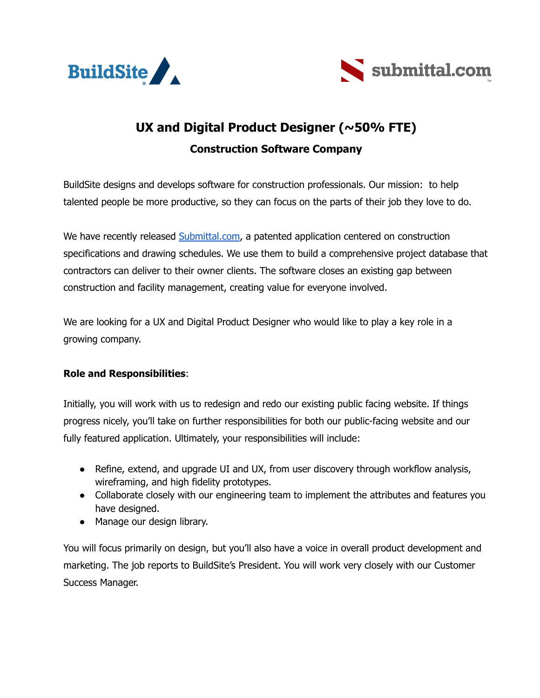



## **UX and Digital Product Designer (~50% FTE) Construction Software Company**

BuildSite designs and develops software for construction professionals. Our mission: to help talented people be more productive, so they can focus on the parts of their job they love to do.

We have recently released **[Submittal.com](https://submittal.com/)**, a patented application centered on construction specifications and drawing schedules. We use them to build a comprehensive project database that contractors can deliver to their owner clients. The software closes an existing gap between construction and facility management, creating value for everyone involved.

We are looking for a UX and Digital Product Designer who would like to play a key role in a growing company.

## **Role and Responsibilities**:

Initially, you will work with us to redesign and redo our existing public facing website. If things progress nicely, you'll take on further responsibilities for both our public-facing website and our fully featured application. Ultimately, your responsibilities will include:

- Refine, extend, and upgrade UI and UX, from user discovery through workflow analysis, wireframing, and high fidelity prototypes.
- Collaborate closely with our engineering team to implement the attributes and features you have designed.
- Manage our design library.

You will focus primarily on design, but you'll also have a voice in overall product development and marketing. The job reports to BuildSite's President. You will work very closely with our Customer Success Manager.